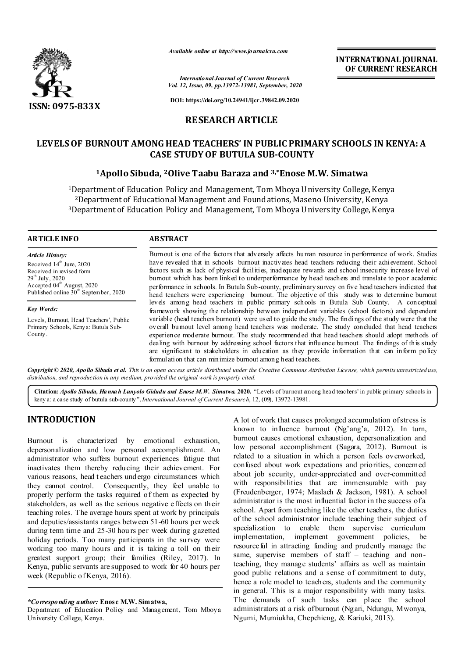

*Available online at http://www.journalcra.com*

**INTERNATIONAL JOURNAL OF CURRENT RESEARCH**

*International Journal of Current Research Vol. 12, Issue, 09, pp.13972-13981, September, 2020*

**DOI: https://doi.org/10.24941/ijcr.39842.09.2020**

# **RESEARCH ARTICLE**

# **LEVELS OF BURNOUT AMONG HEAD TEACHERS' IN PUBLIC PRIMARY SCHOOLS IN KENYA: A CASE STUDY OF BUTULA SUB-COUNTY**

## **1Apollo Sibuda, 2Olive Taabu Baraza and 3,\*Enose M.W. Simatwa**

1Department of Education Policy and Management, Tom Mboya University College, Kenya 2Department of Educational Management and Foundations, Maseno University, Kenya 3Department of Education Policy and Management, Tom Mboya University College, Kenya

#### **ARTICLE INFO ABSTRACT**

*Article History:* Received 14<sup>th</sup> June, 2020 Received in revised form 29<sup>th</sup> July, 2020 Accepted 04<sup>th</sup> August, 2020 Published online 30<sup>th</sup> September, 2020

*Key Words:*

Levels, Burnout, Head Teachers', Public Primary Schools, Kenya: Butula Sub-County.

Burnout is one of the factors that adversely affects human resource in performance of work. Studies have revealed that in schools burnout inactivates head teachers reducing their achievement. School factors such as lack of physical facilities, inadequate rewards and school insecurity increase level of burnout which has been linked to underperformance by head teachers and translate to poor academic performance in schools. In Butula Sub-county, preliminary survey on five head teachers indicated that head teachers were experiencing burnout. The objective of this study was to determine burnout levels among head teachers in public primary schools in Butula Sub County. A conceptual framework showing the relationship between independent variables (school factors) and dependent variable (head teachers burnout) were used to guide the study. The findings of the study were that the overall burnout level among head teachers was moderate. The study concluded that head teachers experience moderate burnout. The study recommended that head teachers should adopt methods of dealing with burnout by addressing school factors that influence burnout. The findings of this study are significant to stakeholders in education as they provide information that can inform policy formulation that can minimize burnout among head teachers.

Copyright © 2020, Apollo Sibuda et al. This is an open access article distributed under the Creative Commons Attribution License, which permits unrestricted use, *distribution, and reproduction in any medium, provided the original work is properly cited.*

**Citation:** *Apollo Sibuda, Hannah Lunyolo Gidudu and Enose M.W. Simatwa.* **2020.** "Levels of burnout among head teachers' in public primary schools in keny a: a case study of butula sub-county",*International Journal of Current Research*, 12, (09), 13972-13981.

# **INTRODUCTION**

Burnout is characterized by emotional exhaustion, depersonalization and low personal accomplishment. An administrator who suffers burnout experiences fatigue that inactivates them thereby reducing their achievement. For various reasons, head t eachers und ergo circumstances which they cannot control. Consequently, they feel unable to properly perform the tasks required of them as expected by stakeholders, as well as the serious negative effects on their teaching roles. The average hours spent at work by principals and deputies/assistants ranges between 51-60 hours per week during term time and 25-30 hou rs per week during gazetted holiday periods. Too many participants in the survey were working too many hours and it is taking a toll on their greatest support group; their families (Riley, 2017). In Kenya, public servants are supposed to work for 40 hours per week (Republic of Kenya, 2016).

## *\*Corresponding author:* **Enose M.W. Simatwa,**

Department of Education Policy and Management, Tom Mboya University College, Kenya.

A lot of work that causes prolonged accumulation of stress is known to influence burnout (Ng'ang'a, 2012). In turn, burnout causes emotional exhaustion, depersonalization and low personal accomplishment (Sagara, 2012). Burnout is related to a situation in which a person feels overworked, confused about work expectations and priorities, concerned about job security, under-appreciated and over-committed with responsibilities that are immensurable with pay (Freudenberger, 1974; Maslach & Jackson, 1981). A school administrator is the most influential factor in the success of a school. Apart from teaching like the other teachers, the duties of the school administrator include teaching their subject of specialization to enable them supervise curriculum implementation, implement government policies, be resourceful in attracting funding and prudently manage the same, supervise members of staff – teaching and nonteaching, they manage students' affairs as well as maintain good public relations and a sense of commitment to duty, hence a role model to teachers, students and the community in general. This is a major responsibility with many tasks. The demands of such tasks can place the school administrators at a risk of burnout (Ngari, Ndungu, Mwonya, Ngumi, Mumiukha, Chepchieng, & Kariuki, 2013).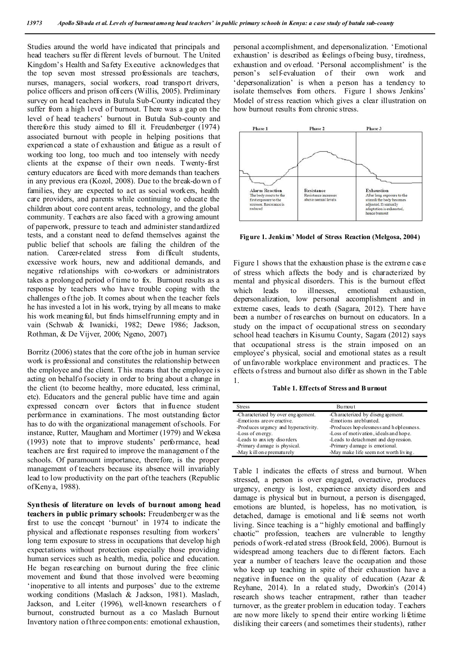Studies around the world have indicated that principals and head teachers suffer different levels of burnout. The United Kingdom's Health and Safety Executive acknowledges that the top seven most stressed professionals are teachers, nurses, managers, social workers, road transport drivers, police officers and prison officers (Willis, 2005). Preliminary survey on head teachers in Butula Sub-County indicated they suffer from a high level of burnout. T here was a gap on the level of head teachers' burnout in Butula Sub-county and therefore this study aimed to fill it. Freudenberger (1974) associated burnout with people in helping positions that experienced a state of exhaustion and fatigue as a result of working too long, too much and too intensely with needy clients at the expense of their own needs. Twenty-first century educators are faced with more demands than teachers in any previous era (Kozol, 2008). Due to the break-down o f families, they are expected to act as social workers, health care providers, and parents while continuing to educate the children about core cont ent areas, technology, and the global community. T eachers are also faced with a growing amount of paperwork, pressure to teach and administer standardized tests, and a constant need to defend themselves against the public belief that schools are failing the children of the nation. Career-related stress from difficult students, excessive work hours, new and additional demands, and negative relationships with co-workers or administrators takes a prolonged period of time to fix. Burnout results as a response by teachers who have trouble coping with the challenges o f the job. It comes about when the teacher feels he has invested a lot in his work, trying by all means to make his work meaning ful, but finds himself running empty and in vain (Schwab & Iwanicki, 1982; Dewe 1986; Jackson, Rothman, & De Vijver, 2006; Ngeno, 2007).

Borritz (2006) states that the core of the job in human service work is professional and constitutes the relationship between the employee and the client. T his means that the employee is acting on behalf of society in order to bring about a change in the client (to become healthy, more educated, less criminal, etc). Educators and the general public have time and again expressed concern over factors that influence student performance in examinations. The most outstanding factor has to do with the organizational management of schools. For instance, Rutter, Maugham and Mortimer (1979) and Wekesa (1993) note that to improve students' performance, head teachers are first required to improve the management o f the schools. Of paramount importance, therefore, is the proper management of teachers because its absence will invariably lead to low productivity on the part of the teachers (Republic of Kenya, 1988).

**Synthesis of literature on levels of burnout among head teachers in public primary schools:** Freudenberger w as the first to use the concept 'burnout' in 1974 to indicate the physical and affectionate responses resulting from workers' long term exposure to stress in occupations that develop high expectations without protection especially those providing human services such as health, media, police and education. He began researching on burnout during the free clinic movement and found that those involved were becoming 'inoperative to all intents and purposes' due to the extreme working conditions (Maslach & Jackson, 1981). Maslach, Jackson, and Leiter (1996), well-known researchers o f burnout, constructed burnout as a co Maslach Burnout Inventory nation of three compon ents: emotional exhaustion,

personal accomplishment, and depersonalization. 'Emotional exhaustion' is described as feelings of being busy, tiredness, exhaustion and overload. 'Personal accomplishment' is the nerson's self-evaluation of their own work and person's self-evaluation of their own work 'depersonalization' is when a person has a tendency to isolate themselves from others. Figure 1 shows Jenkins' Model of stress reaction which gives a clear illustration on how burnout results from chronic stress.



**Figure 1. Jenkins' Model of Stress Reaction (Melgosa, 2004)**

Figure 1 shows that the exhaustion phase is the extreme case of stress which affects the body and is characterized by mental and physical disorders. This is the burnout effect which leads to illnesses, emotional exhaustion, depersonalization, low personal accomplishment and in extreme cases, leads to death (Sagara, 2012). There have been a number of researches on burnout on educators. In a study on the impact of occupational stress on secondary school head teachers in Kisumu County, Sagara (2012) says that occupational stress is the strain imposed on an employee's physical, social and emotional states as a result of unfavorable workplace environment and practices. The effects o f stress and burnout also differ as shown in the Table 1.

**Table 1. Effects of Stress and B urnout** 

| <b>Stress</b>                        | <b>Burnout</b>                            |
|--------------------------------------|-------------------------------------------|
| -Characterized by over engagement.   | -Characterized by disengagement.          |
| -Emotions are overactive.            | -Emotions are blunted.                    |
| -Produces urgency and hyperactivity. | -Produces hop elessness and helplessness. |
| -Loss of energy.                     | -Loss of motivation, ideals and hope.     |
| -Leads to anxiety disorders.         | -Leads to detachment and depression.      |
| -Primary damage is physical.         | -Primary damage is emotional.             |
| -May kill on eprematurely            | -May make life seem not worth living.     |

Table 1 indicates the effects of stress and burnout. When stressed, a person is over engaged, overactive, produces urgency, energy is lost, experience anxiety disorders and damage is physical but in burnout, a person is disengaged, emotions are blunted, is hopeless, has no motivation, is detached, damage is emotional and li fe seems not worth living. Since teaching is a " highly emotional and bafflingly chaotic" profession, teachers are vulnerable to lengthy periods of work-related stress (Brookfield, 2006). Burnout is widespread among teachers due to different factors. Each year a number of teachers leave the occupation and those who keep up teaching in spite of their exhaustion have a negative influence on the quality of education (Azar & Reyhane, 2014). In a related study, Dworkin's (2014) research shows teacher entrapment, rather than teacher turnover, as the greater problem in education today. Teachers are now more likely to spend their entire working li fetime disliking their careers (and sometimes their students), rather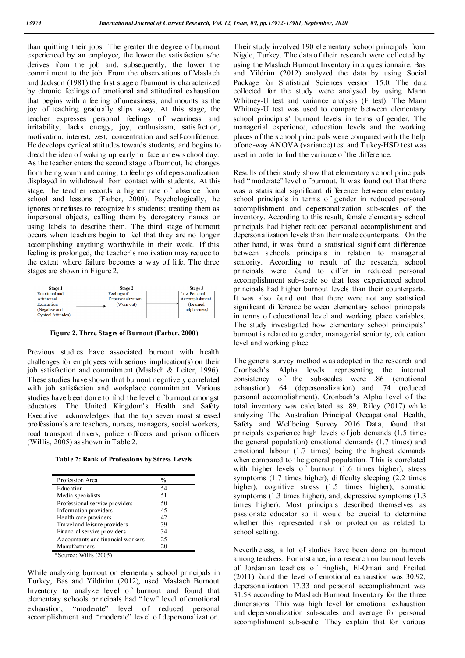than quitting their jobs. The greater the degree of burnout experienced by an employee, the lower the satisfaction s/he derives from the job and, subsequently, the lower the commitment to the job. From the observations of Maslach and Jackson (1981) the first stage o fburnout is characterized by chronic feelings of emotional and attitudinal exhaustion that begins with a feeling of uneasiness, and mounts as the joy of teaching gradually slips away. At this stage, the teacher expresses personal feelings of weariness and irritability; lacks energy, joy, enthusiasm, satisfaction, motivation, interest, zest, concentration and self-confidence. He develops cynical attitudes towards students, and begins to dread th e idea of waking up early to face a new s chool day. As the teacher enters the second stage of burnout, he changes from being warm and caring, to feelings of d epersonalization displayed in withdrawal from contact with students. At this stage, the teacher records a higher rate of absence from school and lessons (Farber, 2000). Psychologically, he ignores or refuses to recognize his students; treating them as impersonal objects, calling them by derogatory names or using labels to describe them. The third stage of burnout occurs when teachers begin to feel that they are no longer accomplishing anything worthwhile in their work. If this feeling is prolonged, the teacher's motivation may reduce to the extent where failure becomes a way of li fe. The three stages are shown in Figure 2.



**Figure 2. Three Stages of Burnout (Farber, 2000)**

Previous studies have associated burnout with health challenges for employees with serious implication(s) on their job satisfaction and commitment (Maslach & Leiter, 1996). These studies have shown th at burnout negatively correlated with job satisfaction and workplace commitment. Various studies have been done to find the level of burnout amongst educators. The United Kingdom's Health and Safety Executive acknowledges that the top seven most stressed professionals are teachers, nurses, managers, social workers, road transport drivers, police officers and prison officers (Willis, 2005) as shown in Table 2.

**Table 2: Rank of Professions by Stress Levels**

| Profession Area                   | $\frac{0}{0}$ |  |
|-----------------------------------|---------------|--|
| Education                         | 54            |  |
| Media specialists                 | 51            |  |
| Professional service providers    | 50            |  |
| Information providers             | 45            |  |
| Health care providers             | 42            |  |
| Travel and leisure providers      | 39            |  |
| Financial service providers       | 34            |  |
| Accountants and financial workers | 25            |  |
| <b>Manufacturers</b>              | 20            |  |

\*Source: Willis (2005)

While analyzing burnout on elementary school principals in Turkey, Bas and Yildirim (2012), used Maslach Burnout Inventory to analyze level of burnout and found that elementary schools principals had " low" level of emotional exhaustion, "moderate" level of reduced personal accomplishment and " moderate" level of depersonalization.

Their study involved 190 elementary school p rincipals from Nigde, Turkey. The data o f their research were collected by using the Maslach Burnout Inventory in a questionnaire. Bas and Yildrim (2012) analyzed the data by using Social Package for Statistical Sciences version 15.0. The data collected for the study were analysed by using Mann Whitney-U test and variance analysis (F test). The Mann Whitney-U test was used to compare between elementary school principals' burnout levels in terms of gender. The managerial experience, education levels and the working places of the s chool principals were compared with the help of one-way ANOVA (variance) test and T ukey-HSD test was used in order to find the variance of the difference.

Results of their study show that elementary s chool principals had "moderate" level o f burnout. It was found out that there was a statistical significant difference between elementary school principals in terms of gender in reduced personal accomplishment and depersonalization sub-scales of the inventory. According to this result, female elementary school principals had higher reduced personal accomplishment and depersonalization levels than their male counterparts. On the other hand, it was found a statistical significant difference between schools principals in relation to managerial seniority. According to result of the research, school principals were found to differ in reduced personal accomplishment sub-scale so that less experienced school principals had higher burnout levels than their counterparts. It was also found out that there were not any statistical significant difference between elementary school principals in terms of educational level and working place variables. The study investigated how elementary school principals' burnout is related to gender, managerial seniority, education level and working place.

The general survey method was adopted in the research and Cronbach's Alpha levels representing the internal consistency of the sub-scales were .86 (emotional exhaustion) .64 (depersonalization) and .74 (reduced personal accomplishment). Cronbach's Alpha level of the total inventory was calculated as .89. Riley (2017) while analyzing The Australian Principal Occupational Health, Safety and Wellbeing Survey 2016 Data, found that principals experience high levels of job demands (1.5 times the general population) emotional demands (1.7 times) and emotional labour (1.7 times) being the highest demands when comp ared to the general population. T his is correlated with higher levels of burnout (1.6 times higher), stress symptoms (1.7 times higher), difficulty sleeping (2.2 times higher), cognitive stress (1.5 times higher), somatic symptoms (1.3 times higher), and, depressive symptoms (1.3 times higher). Most principals described themselves as passionate educator so it would be crucial to determine whether this represented risk or protection as related to school setting.

Nevertheless, a lot of studies have been done on burnout among teachers. For instance, in a research on burnout levels of Jordanian teachers of English, El-Omari and Freihat (2011) found the level of emotional exhaustion was 30.92, depersonalization 17.33 and personal accomplishment was 31.58 according to Maslach Burnout Inventory for the three dimensions. This was high level for emotional exhaustion and depersonalization sub-scales and average for personal accomplishment sub-scale. They explain that for various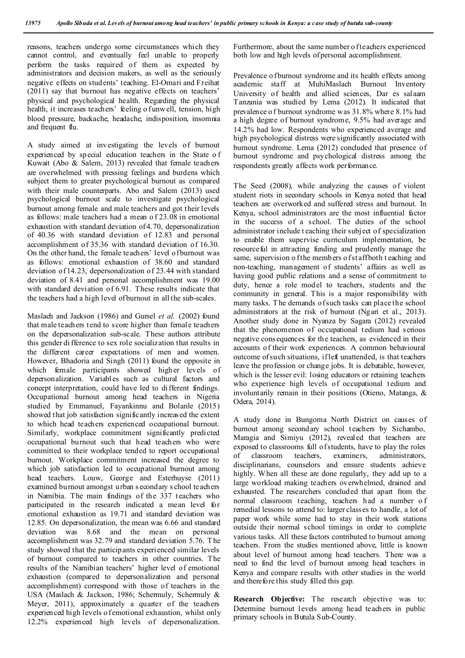reasons, teachers undergo some circumstances which they cannot control, and eventually feel unable to properly perform the tasks required of them as expected by administrators and decision makers, as well as the seriously negative effects on students' teaching. El-Omari and Freihat (2011) say that burnout has negative effects on teachers' physical and psychological health. Regarding the physical health, it increases teachers' feeling o funwell, tension, high blood pressure, backache, headache, indisposition, insomnia and frequent flu.

A study aimed at investigating the levels of burnout experienced by special education teachers in the State o f Kuwait (Abo & Salem, 2013) revealed that female teachers are overwhelmed with pressing feelings and burdens which subject them to greater psychological burnout as compared with their male counterparts. Abo and Salem (2013) used psychological burnout scale to investigate psychological burnout among female and male teachers and got their levels as follows: male teachers had a mean o f 23.08 in emotional exhaustion with standard deviation of 4.70, depersonalization of 40.36 with standard deviation of 12.83 and personal accomplishment of 35.36 with standard deviation of 16.30. On the other hand, the female teachers' level of burnout was as follows: emotional exhaustion of 38.60 and standard deviation of 14.23, depersonalization of 23.44 with standard deviation of 8.41 and personal accomplishment was 19.00 with standard deviation of 6.91. These results indicate that the teachers had a high level of burnout in all the sub-scales.

Maslach and Jackson (1986) and Gursel et al. (2002) found that male teachers tend to score higher than female teachers on the depersonalization sub-scale. These authors attribute this gender di fference to sex role socialization that results in the different career expectations of men and women. However, Bhadoria and Singh (2011) found the opposite in which female participants showed higher levels of depersonalization. Variables such as cultural factors and concept interpretation, could have led to different findings. Occupational burnout among head teachers in Nigeria studied by Emmanuel, Fayankinnu and Bolanle (2015) showed that job satisfaction significantly increased the extent to which head teachers experienced occupational burnout. Similarly, workplace commitment significantly predicted occupational burnout such that head teachers who were committed to their workplace tended to report occupational burnout. Workplace commitment increased the degree to which job satisfaction led to occupational burnout among head teachers. Louw, George and Esterhuyse (2011) examined burnout amongst urban s econdary s chool teachers in Namibia. The main findings of the 337 teachers who participated in the research indicated a mean level for emotional exhaustion as 19.71 and standard deviation was 12.85. On depersonalization, the mean was 6.66 and standard deviation was 8.68 and the mean on personal accomplishment was 32.79 and standard deviation 5.76. The study showed that the participants experienced similar levels of burnout compared to teachers in other countries. The results of the Namibian teachers' higher level of emotional exhaustion (compared to depersonalization and personal accomplishment) correspond with those of teachers in the USA (Maslach & Jackson, 1986; Schermuly, Schermuly & Meyer, 2011), approximately a quarter of the teachers experienced high levels o femotional exhaustion, whilst only 12.2% experienced high levels of depersonalization.

Furthermore, about the same number o f teachers experienced both low and high levels of personal accomplishment.

Prevalence o f burnout syndrome and its health effects among academic staff at MuhiMaslach Burnout Inventory University of health and allied sciences, Dar es salaam Tanzania was studied by Lema (2012). It indicated that prevalence o f burnout syndrome was 31.8% where 8.1% had a high degree of burnout syndrome, 9.5% had average and 14.2% had low. Respondents who experienced average and high psychological distress were significantly associated with burnout syndrome. Lema (2012) concluded that presence of burnout syndrome and psychological distress among the respondents greatly affects work performance.

The Seed (2008), while analyzing the causes of violent student riots in secondary schools in Kenya noted that head teachers are overworked and suffered stress and burnout. In Kenya, school administrators are the most influential factor in the success of a school. The duties of the school administrator include t eaching their subject of specialization to enable them supervise curriculum implementation, be resourceful in attracting funding and prudently manage the same, supervision o f the members of staff both t eaching and non-teaching, management of students' affairs as well as having good public relations and a sense of commitment to duty, hence a role model to teachers, students and the community in general. This is a major responsibility with many tasks. T he demands of such tasks can place the school administrators at the risk of burnout (Ngari et al., 2013). Another study done in Nyanza by Sagara (2012) revealed that the phenomenon of occupational tedium had serious negative consequences for the teachers, as evidenced in their accounts of their work experiences. A common behavioural outcome of such situations, if left unattended, is that teachers leave the profession or change jobs. It is debatable, however, which is the lesser evil: losing educators or retaining teachers who experience high levels of occupational tedium and involuntarily remain in their positions (Otieno, Matanga, & Odera, 2014).

A study done in Bungoma North District on causes of burnout among secondary school teachers by Sichambo, Maragia and Simiyu (2012), revealed that teachers are exposed to classrooms full of students, have to play the roles of classroom teachers, examiners, administrators, disciplinarians, counselors and ensure students achieve highly. When all these are done regularly, they add up to a large workload making teachers overwhelmed, drained and exhausted. The researchers concluded that apart from the normal classroom teaching, teachers had a number o f remedial lessons to attend to: larger classes to handle, a lot of paper work while some had to stay in their work stations outside their normal school timings in order to complete various tasks. All these factors contributed to burnout among teachers. From the studies mentioned above, little is known about level of burnout among head teachers. There was a need to find the level of burnout among head teachers in Kenya and compare results with other studies in the world and therefore this study filled this gap.

**Research Objective:** The research objective was to: Determine burnout levels among head teachers in public primary schools in Butula Sub-County.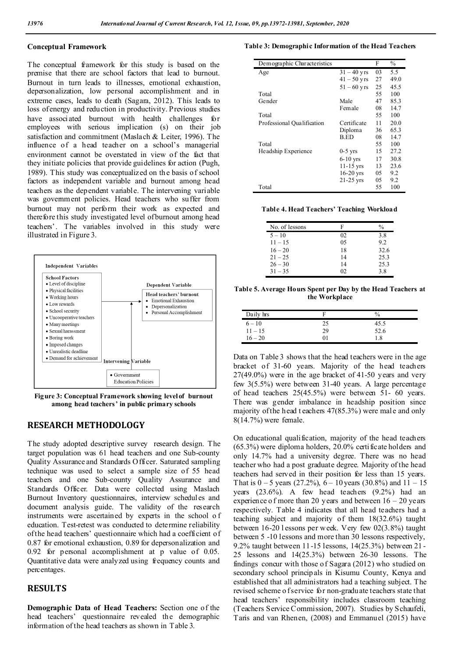### **Conceptual Framework**

The conceptual framework for this study is based on the premise that there are school factors that lead to burnout. Burnout in turn leads to illnesses, emotional exhaustion, depersonalization, low personal accomplishment and in extreme cases, leads to death (Sagara, 2012). This leads to loss of energy and reduction in productivity. Previous studies have associated burnout with health challenges for employees with serious implication (s) on their job satisfaction and commitment (Maslach & Leiter, 1996). The influence of a head teacher on a school's managerial environment cannot be overstated in view of the fact that they initiate policies that provide guidelines for action (Pugh, 1989). This study was conceptualized on the basis of school factors as independent variable and burnout among head teachers as the dependent variable. The intervening variable was government policies. Head teachers who suffer from burnout may not perform their work as expected and therefore this study investigated level of burnout among head teachers'. The variables involved in this study were illustrated in Figure 3.



**Figure 3: Conceptual Framework showing level of burnout among head teachers' in public primary schools** 

## **RESEARCH METHODOLOGY**

The study adopted descriptive survey research design. The target population was 61 head teachers and one Sub-county Quality Assurance and Standards Officer. Saturated sampling technique was used to select a sample size of 55 head teachers and one Sub-county Quality Assurance and Standards Officer. Data were collected using Maslach Burnout Inventory questionnaires, interview schedules and document analysis guide. The validity of the research instruments were ascertained by experts in the school o f education. Test-retest was conducted to determine reliability of the head teachers' questionnaire which had a coefficient of 0.87 for emotional exhaustion, 0.89 for depersonalization and 0.92 for personal accomplishment at p value of 0.05. Quantitative data were analyzed using frequency counts and percentages.

## **RESULTS**

**Demographic Data of Head Teachers:** Section one of the head teachers' questionnaire revealed the demographic information of the head teachers as shown in Table 3.

#### **Table 3: Demographic Information of the Head Teachers**

| Demographic Characteristics |               | F  | $\frac{0}{0}$ |
|-----------------------------|---------------|----|---------------|
| Age                         | $31 - 40$ yrs | 03 | 5.5           |
|                             | $41 - 50$ yrs | 27 | 49.0          |
|                             | $51 - 60$ yrs | 25 | 45.5          |
| Total                       |               | 55 | 100           |
| Gender                      | Male          | 47 | 85.3          |
|                             | Female        | 08 | 14.7          |
| Total                       |               | 55 | 100           |
| Professional Qualification  | Certificate   | 11 | 20.0          |
|                             | Diploma       | 36 | 65.3          |
|                             | <b>B.ED</b>   | 08 | 14.7          |
| Total                       |               | 55 | 100           |
| Headship Experience         | $0-5$ yrs     | 15 | 27.2          |
|                             | $6-10$ yrs    | 17 | 30.8          |
|                             | $11-15$ yrs   | 13 | 23.6          |
|                             | $16-20$ yrs   | 05 | 9.2           |
|                             | $21-25$ yrs   | 05 | 9.2           |
| Total                       |               | 55 | 100           |

**Table 4. Head Teachers' Teaching Workload** 

| No. of lessons | F  | $\%$ |
|----------------|----|------|
| $5 - 10$       | 02 | 3.8  |
| $11 - 15$      | 05 | 9.2  |
| $16 - 20$      | 18 | 32.6 |
| $21 - 25$      | 14 | 25.3 |
| $26 - 30$      | 14 | 25.3 |
| $31 - 35$      | 02 | 3.8  |

**Table 5. Average Hours Spent per Day by the Head Teachers at the Workplace**

| Daily hrs |    | $\frac{0}{0}$ |
|-----------|----|---------------|
| $6 - 10$  | 25 | 45.5          |
| $11 - 15$ | 29 | 52.6          |
| $16 - 20$ | ЭI | 1.8           |

Data on Table 3 shows that the head teachers were in the age bracket of 31-60 years. Majority of the head teachers 27(49.0%) were in the age bracket of 41-50 years and very few 3(5.5%) were between 31-40 years. A large percentage of head teachers 25(45.5%) were between 51- 60 years. There was gender imbalance in headship position since majority of the head t eachers 47(85.3%) were male and only 8(14.7%) were female.

On educational qualification, majority of the head teachers (65.3%) were diploma holders, 20.0% certificate holders and only 14.7% had a university degree. There was no head teacher who had a post graduate degree. Majority of the head teachers had served in their position for less than 15 years. That is  $0 - 5$  years (27.2%),  $6 - 10$  years (30.8%) and  $11 - 15$ years (23.6%). A few head teachers (9.2%) had an experience of more than 20 years and between  $16 - 20$  years respectively. Table 4 indicates that all head teachers had a teaching subject and majority of them 18(32.6%) taught between 16-20 l essons per week. Very few 02(3.8%) taught between 5 -10 lessons and more than 30 lessons respectively, 9.2% taught between 11-15 lessons, 14(25.3%) between 21 - 25 lessons and 14(25.3%) between 26-30 lessons. The findings concur with those of Sagara (2012) who studied on secondary school principals in Kisumu County, Kenya and established that all administrators had a teaching subject. The revised scheme o f service for non-graduate teachers state that head teachers' responsibility includes classroom teaching (Teachers Service Commission, 2007). Studies by Schaufeli, Taris and van Rhenen, (2008) and Emmanuel (2015) have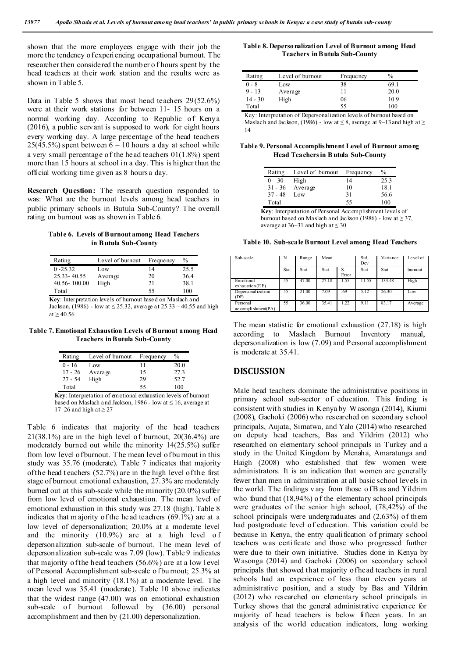shown that the more employees engage with their job the more the tendency of experiencing occupational burnout. The researcher then considered the number o f hours spent by the head teachers at their work station and the results were as shown in Table 5.

Data in Table 5 shows that most head teachers 29(52.6%) were at their work stations for between 11- 15 hours on a normal working day. According to Republic of Kenya (2016), a public servant is supposed to work for eight hours every working day. A large percentage of the head teachers  $25(45.5%)$  spent between  $6 - 10$  hours a day at school while a very small percentage of the head teachers 01(1.8%) spent more than 15 hours at school in a day. This is higher than the official working time given as 8 hours a day.

**Research Question:** The research question responded to was: What are the burnout levels among head teachers in public primary schools in Butula Sub-County? The overall rating on burnout was as shown in Table 6.

## **Table 6. Levels of Burnout among Head Teachers in B utula Sub-County**

| Rating                                                     | Level of burnout | Frequency | $\frac{0}{0}$ |  |
|------------------------------------------------------------|------------------|-----------|---------------|--|
| $0 - 25.32$                                                | Low              | 14        | 25.5          |  |
| 25.33-40.55                                                | Average          | 20        | 36.4          |  |
| 40.56-100.00                                               | High             | 21        | 38.1          |  |
| Total                                                      |                  | 55        | 100           |  |
| Key: Interpretation levels of burnout based on Maslach and |                  |           |               |  |

Jackson, (1986) - low at ≤ 25.32, average at 25.33 – 40.55 and high at  $\geq 40.56$ 

**Table 7. Emotional Exhaustion Levels of Burnout among Head Teachers in Butula Sub-County**

| Rating    | Level of burnout | Frequency | $\frac{0}{0}$ |
|-----------|------------------|-----------|---------------|
| $0 - 16$  | Low              | 11        | 20.0          |
| $17 - 26$ | Average          | 15        | 27.3          |
| $27 - 54$ | High             | 29        | 52.7          |
| Total     |                  | 55        | 100           |

**Key**: Interpretation of emotional exhaustion levels of burnout based on Maslach and Jackson, 1986 - low at  $\leq 16$ , average at 17–26 and high at  $\geq$  27

Table 6 indicates that majority of the head teachers  $21(38.1\%)$  are in the high level of burnout,  $20(36.4\%)$  are moderately burned out while the minority 14(25.5%) suffer from low level of burnout. T he mean level of bu rnout in this study was 35.76 (moderate). Table 7 indicates that majority of the head t eachers (52.7%) are in the high level of the first stage of burnout emotional exhaustion, 27.3% are moderately burned out at this sub-scale while the minority  $(20.0\%)$  suffer from low level of emotional exhaustion. The mean level of emotional exhaustion in this study was 27.18 (high). Table 8 indicates that m ajority of the head teachers (69.1%) are at a low level of depersonalization; 20.0% at a moderate level and the minority (10.9%) are at a high level of depersonalization sub-scale of burnout. The mean level of depersonalization sub-scale was 7.09 (low). Table 9 indicates that majority of the head teachers  $(56.6\%)$  are at a low level of Personal Accomplishment sub-scale o f bu rnout; 25.3% at a high level and minority (18.1%) at a moderate level. The mean level was 35.41 (moderate). Table 10 above indicates that the widest range (47.00) was on emotional exhaustion sub-scale of burnout followed by (36.00) personal accomplishment and then by (21.00) depersonalization.

#### **Table 8. Depersonalization Level of Burnout among Head Teachers in Butula Sub-County**

| Rating    | Level of burnout | Frequency | $\frac{0}{0}$ |
|-----------|------------------|-----------|---------------|
| 0 - 8     | Low              | 38        | 69.1          |
| $9 - 13$  | Average          |           | 20.0          |
| $14 - 30$ | High             | 06        | 10.9          |
| Total     |                  | 55        | 100           |

Key: Interpretation of Depersonalization levels of burnout based on Maslach and Jackson, (1986) - low at  $\leq 8$ , average at 9–13 and high at  $\geq$ 14

**Table 9. Personal Accomplishment Level of Burnout among Head Teachers in B utula Sub-County**

| Rating    | Level of burnout | <b>Frequency</b> | %    |
|-----------|------------------|------------------|------|
| $0 - 30$  | High             | 14               | 25.3 |
| $31 - 36$ | Average          | 10               | 18.1 |
| $37 - 48$ | Low              | 31               | 56.6 |
| Total     |                  | 55               | 100  |

**Key**: Interpretation of Personal Accomplishment levels of burnout based on Maslach and Jackson (1986) - low at  $\geq$  37, average at 36–31 and high at  $\leq 30$ 

**Table 10. Sub-scale Burnout Level among Head Teachers**

| Sub-scale                           | N    | Range | Mean  |             | Std.<br>Dev | Variance | Level of |
|-------------------------------------|------|-------|-------|-------------|-------------|----------|----------|
|                                     | Stat | Stat  | Stat  | S.<br>Error | Stat        | Stat     | burnout  |
| Emotional<br>$exha$ ustion $(EE)$   | 55   | 47.00 | 27.18 | 1.55        | 11.55       | 133.48   | High     |
| Depersonal izati on<br>(DP)         | 55   | 21.00 | 7.09  | .69         | 5.12        | 26.30    | Low      |
| Personal<br>$ac$ com pli shment(PA) | 55   | 36.00 | 35.41 | 1.22        | 9.11        | 83.17    | Average  |

The mean statistic for emotional exhaustion (27.18) is high according to Maslach Burnout Inventory manual, depersonalization is low (7.09) and Personal accomplishment is moderate at 35.41.

## **DISCUSSION**

Male head teachers dominate the administrative positions in primary school sub-sector of education. This finding is consistent with studies in Kenya by Wasonga (2014), Kiumi (2008), Gachoki (2006) who researched on secondary s chool principals, Aujata, Simatwa, and Yalo (2014) who researched on deputy head teachers, Bas and Yildrim (2012) who researched on elementary school principals in Turkey and a study in the United Kingdom by Menaha, Amaratunga and Haigh (2008) who established that few women were administrators. It is an indication that women are generally fewer than men in administration at all basic school levels in the world. The findings vary from those of B as and Yildrim who found that (18,94%) of the elementary school principals were graduates of the senior high school, (78,42%) of the school principals were undergraduates and (2,63%) of them had postgraduate level of education. This variation could be because in Kenya, the entry qualification of primary school teachers was certi ficate and those who progressed further were due to their own initiative. Studies done in Kenya by Wasonga (2014) and Gachoki (2006) on secondary school principals that showed that majority of head teachers in rural schools had an experience of less than eleven years at administrative position, and a study by Bas and Yildrim (2012) who researched on elementary school principals in Turkey shows that the general administrative experience for majority of head teachers is below fifteen years. In an analysis of the world education indicators, long working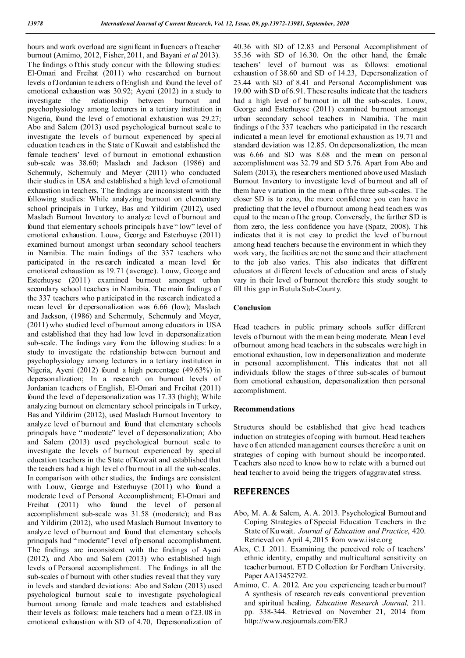hours and work overload are significant influencers of teacher burnout (Amimo, 2012, Fisher, 2011, and Bayani *et al* 2013). The findings o f this study concur with the following studies: El-Omari and Freihat (2011) who researched on burnout levels of Jordanian teachers of English and found the level of emotional exhaustion was 30.92; Ayeni (2012) in a study to investigate the relationship between burnout and psychophysiology among lecturers in a tertiary institution in Nigeria, found the level of emotional exhaustion was 29.27; Abo and Salem (2013) used psychological burnout scale to investigate the levels of burnout experienced by special education teachers in the State of Kuwait and established the female teachers' level of burnout in emotional exhaustion sub-scale was 38.60; Maslach and Jackson (1986) and Schermuly, Schermuly and Meyer (2011) who conducted their studies in USA and established a high level of emotional exhaustion in teachers. T he findings are inconsistent with the following studies: While analyzing burnout on elementary school principals in Turkey, Bas and Yildirim (2012), used Maslach Burnout Inventory to analyze level of burnout and found that elementary s chools principals h ave " low" level of emotional exhaustion. Louw, George and Esterhuyse (2011) examined burnout amongst urban secondary school teachers in Namibia. The main findings of the 337 teachers who participated in the research indicated a mean level for emotional exhaustion as 19.71 (average). Louw, George and Esterhuyse (2011) examined burnout amongst urban secondary school teachers in N amibia. The main findings o f the 337 teachers who p articipated in the research indicated a mean level for depersonalization was 6.66 (low); Maslach and Jackson, (1986) and Schermuly, Schermuly and Meyer, (2011) who studied level of burnout among educators in USA and established that they had low level in depersonalization sub-scale. The findings vary from the following studies: In a study to investigate the relationship between burnout and psychophysiology among lecturers in a tertiary institution in Nigeria, Ayeni (2012) found a high percentage (49.63%) in depersonalization; In a research on burnout levels of Jordanian teachers of English, El-Omari and Freihat (2011) found the level of depersonalization was 17.33 (high); While analyzing burnout on elementary school principals in T urkey, Bas and Yildirim (2012), used Maslach Burnout Inventory to analyze level of burnout and found that elementary schools principals have " moderate" level of depersonalization; Abo and Salem (2013) used psychological burnout scale to investigate the levels of burnout experienced by special education teachers in the State of Kuwait and established that the teachers had a high level of burnout in all the sub-scales. In comparison with other studies, the findings are consistent with Louw, George and Esterhuyse (2011) who found a moderate level of Personal Accomplishment; El-Omari and Freihat (2011) who found the level of personal accomplishment sub-scale was 31.58 (moderate); and B as and Yildirim (2012), who used Maslach Burnout Inventory to analyze level of burnout and found that elementary schools principals had " moderate" l evel of p ersonal accomplishment. The findings are inconsistent with the findings of Ayeni (2012), and Abo and Salem (2013) who established high levels of Personal accomplishment. The findings in all the sub-scales o f burnout with other studies reveal that they vary in levels and standard deviations: Abo and Salem (2013) used psychological burnout scale to investigate psychological burnout among female and male teachers and established their levels as follows: male teachers had a mean o f 23.08 in emotional exhaustion with SD of 4.70, Depersonalization of

40.36 with SD of 12.83 and Personal Accomplishment of 35.36 with SD of 16.30. On the other hand, the female teachers' level of burnout was as follows: emotional exhaustion of 38.60 and SD of 14.23, Depersonalization of 23.44 with SD of 8.41 and Personal Accomplishment was 19.00 with SD of 6.91. These results indicate that the teachers had a high level of burnout in all the sub-scales. Louw, George and Esterhuyse (2011) examined burnout amongst urban secondary school teachers in Namibia. The main findings o f the 337 teachers who participated in the research indicated a mean level for emotional exhaustion as 19.71 and standard deviation was 12.85. On depersonalization, the mean was 6.66 and SD was 8.68 and the mean on personal accomplishment was 32.79 and SD 5.76. Apart from Abo and Salem (2013), the researchers mentioned above used Maslach Burnout Inventory to investigate level of burnout and all of them have variation in the mean of the three sub-scales. The closer SD is to zero, the more confidence you can have in predicting that the level o fburnout among h ead teachers was equal to the mean of the group. Conversely, the further SD is from zero, the less confidence you have (Spatz, 2008). This indicates that it is not easy to predict the level of burnout among head teachers because the environment in which they work vary, the facilities are not the same and their attachment to the job also varies. This also indicates that different educators at different levels of education and areas of study vary in their level of burnout therefore this study sought to fill this gap in Butula Sub-County.

#### **Conclusion**

Head teachers in public primary schools suffer different levels of burnout with the m ean b eing moderate. Mean l evel of burnout among head teachers in the subscales were high in emotional exhaustion, low in depersonalization and moderate in personal accomplishment. This indicates that not all individuals follow the stages of three sub-scales of burnout from emotional exhaustion, depersonalization then personal accomplishment.

#### **Recommendations**

Structures should be established that give head teachers induction on strategies of coping with burnout. Head teachers have o ften attended management courses therefore a unit on strategies of coping with burnout should be incorporated. Teachers also need to know ho w to relate with a burned out head teacher to avoid being the triggers of aggravated stress.

## **REFERENCES**

- Abo, M. A. & Salem, A. A. 2013. Psychological Burnout and Coping Strategies of Special Education Teachers in the State of Ku wait. *Journal of Education and Practice*, 420. Retrieved on April 4, 2015 from www.iiste.org
- Alex, C.J. 2011. Examining the perceived role of teachers' ethnic identity, empathy and multicultural sensitivity on teacher burnout. ET D Collection for Fordham University. Paper AA13452792.
- Amimo, C. A. 2012. Are you experiencing teacher bu rnout? A synthesis of research reveals conventional prevention and spiritual healing. *Education Research Journal,* 211. pp. 338-344. Retrieved on November 21, 2014 from http://www.resjournals.com/ERJ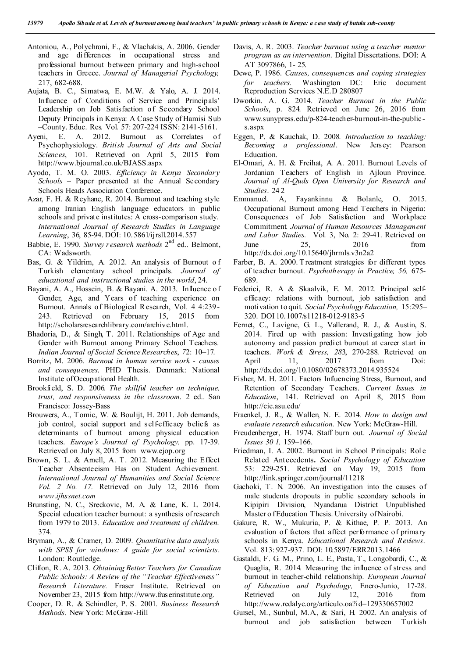- Antoniou, A., Polychroni, F., & Vlachakis, A. 2006. Gender and age differences in occupational stress and professional burnout between primary and high-school teachers in Greece. *Journal of Managerial Psychology,* 217, 682-688.
- Aujata, B. C., Simatwa, E. M.W. & Yalo, A. J. 2014. Influence of Conditions of Service and Principals' Leadership on Job Satisfaction of Secondary School Deputy Principals in Kenya: A Case Study of Hamisi Sub –County. Educ. Res. Vol. 57: 207-224 ISSN: 2141-5161.
- Ayeni, E. A. 2012. Burnout as Correlates of Psychophysiology. *British Journal of Arts and Social Sciences*, 101. Retrieved on April 5, 2015 from http://www.bjournal.co.uk/BJASS.aspx
- Ayodo, T. M. O. 2003. *Efficiency in Kenya Secondary Schools –* Paper presented at the Annual Secondary Schools Heads Association Conference.
- Azar, F. H. & Reyhane, R. 2014. Burnout and teaching style among Iranian English language educators in public schools and private institutes: A cross-comparison study. *International Journal of Research Studies in Language Learning*, 36, 85-94. DOI: 10.5861/ijrsll.2014.557
- Babbie, E. 1990. *Survey research methods* 2<sup>nd</sup> ed.. Belmont, CA: Wadsworth.
- Bas, G. & Yildrim, A. 2012. An analysis of Burnout o f Turkish elementary school principals. *Journal of educational and instructional studies in the world*, 24.
- Bayani, A. A., Hossein, B. & Bayani. A. 2013. Influence o f Gender, Age, and Years of teaching experience on Burnout. Annals of Biological R esearch, Vol. 4 4:239- 243. Retrieved on February 15, 2015 from http://scholarsresearchlibrary.com/archive.html.
- Bhadoria, D., & Singh, T. 2011. Relationships of Age and Gender with Burnout among Primary School Teachers. *Indian Journal of Social Science Researches*, *7*2: 10–17.
- Borritz, M. 2006. *Burnout in human service work - causes and consequences*. PHD Thesis. Denmark: National Institute of Occupational Health.
- Brookfield, S. D. 2006. *The skillful teacher on technique, trust, and responsiveness in the classroom*. 2 ed.. San Francisco: Jossey-Bass
- Brouwers, A., T omic, W. & Boulijt, H. 2011. Job demands, job control, social support and self-efficacy beliefs as determinants of burnout among physical education teachers. *Europe's Journal of Psychology,* pp. 17-39. Retrieved on July 8, 2015 from www.ejop.org
- Brown, S. L. & Arnell, A. T. 2012. Measuring the Effect Teacher Absenteeism Has on Student Achievement. *International Journal of Humanities and Social Science Vol. 2 No. 17.* Retrieved on July 12, 2016 from *www.ijhssnet.com*
- Brunsting, N. C., Sreckovic, M. A. & Lane, K. L. 2014. Special education teacher burnout: a synthesis of research from 1979 to 2013. *Education and treatment of children*. 374.
- Bryman, A., & Cramer, D. 2009. *Quantitative data analysis with SPSS for windows: A guide for social scientists*. London: Routledge.
- Clifton, R. A. 2013. *Obtaining Better Teachers for Canadian Public Schools: A Review of the "Teacher Effectiveness" Research Literature.* Fraser Institute. Retrieved on November 23, 2015 from http://www.fraserinstitute.org.
- Cooper, D. R. & Schindler, P. S. 2001. *Business Research Methods*. New York: McGraw-Hill
- Davis, A. R. 2003. *Teacher burnout using a teacher mentor program as an intervention*. Digital Dissertations. DOI: A AT 3097866, 1- 25.
- Dewe, P. 1986. *Causes, consequences and coping strategies for teachers.* Washington DC: Eric document Reproduction Services N.E.D 280807
- Dworkin. A. G. 2014. *Teacher Burnout in the Public Schools*, p. 824. Retrieved on June 26, 2016 from www.sunypress.edu/p-824-teacher-burnout-in-the-publics.aspx
- Eggen, P. & Kauchak, D. 2008. *Introduction to teaching: Becoming a professional*. New Jersey: Pearson Education.
- El-Omari, A. H. & Freihat, A. A. 2011. Burnout Levels of Jordanian Teachers of English in Ajloun Province. *Journal of Al-Quds Open University for Research and Studies*. 24 2
- Emmanuel. A, Fayankinnu & Bolanle, O. 2015. Occupational Burnout among Head Teachers in Nigeria: Consequences of Job Satisfaction and Workplace Commitment. *Journal of Human Resources Management and Labor Studies.* Vol. 3, No. 2: 29-41. Retrieved on June 25, 2016 from http://dx.doi.org/10.15640/jhrmls.v3n2a2
- Farber, B. A. 2000. T reatment strategies for different types of teacher burnout. *Psychotherapy in Practice, 56,* 675- 689.
- Federici, R. A & Skaalvik, E. M. 2012. Principal selfefficacy: relations with burnout, job satisfaction and motivation to quit. *Social Psychology Education,* 15:295– 320. DOI 10.1007/s11218-012-9183-5
- Fernet, C., Lavigne, G. L., Vallerand, R. J., & Austin, S. 2014. Fired up with passion: Investigating how job autonomy and passion predict burnout at career st art in teachers. *Work & Stress, 28*3, 270-288. Retrieved on April 11, 2017 from Doi: http://dx.doi.org/10.1080/02678373.2014.935524
- Fisher, M. H. 2011. Factors Influencing Stress, Burnout, and Retention of Secondary Teachers. *Current Issues in Education*, 141. Retrieved on April 8, 2015 from http://cie.asu.edu/
- Fraenkel, J. R., & Wallen, N. E. 2014. *How to design and evaluate research education.* New York: McGraw-Hill.
- Freudenberger, H. 1974. Staff burn out. *Journal of Social Issues 30 1,* 159–166.
- Friedman, I. A. 2002. Burnout in S chool P rincipals: Rol e Related Antecedents**.** *Social Psychology of Education* 53: 229-251. Retrieved on May 19, 2015 from http://link.springer.com/journal/11218
- Gachoki, T. N. 2006. An investigation into the causes of male students dropouts in public secondary schools in Kipipiri Division, Nyandarua District Unpublished Master o f Education Thesis. University of Nairobi.
- Gakure, R. W., Mukuria, P. & Kithae, P. P. 2013. An evaluation of factors that affect performance of primary schools in Kenya. *Educational Research and Reviews*. Vol. 813: 927-937. DOI: 10.5897/ERR2013.1466
- Gastaldi, F. G. M., Prino, L. E., Pasta, T., Longobardi, C., & Quaglia, R. 2014. Measuring the influence of stress and burnout in teacher-child relationship. *European Journal of Education and Psychology,* Enero-Junio, 17-28. Retrieved on July 12, 2016 from http://www.redalyc.org/articulo.oa?id=129330657002
- Gursel, M., Sunbul, M.A., & Sari, H. 2002. An analysis of burnout and job satisfaction between Turkish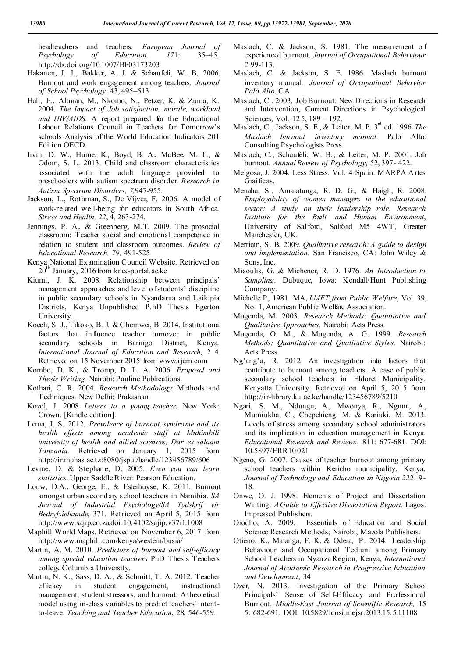headteachers and teachers. *European Journal of Psychology of Education, 17*1: 35–45. http://dx.doi.org/10.1007/BF03173203

- Hakanen, J. J., Bakker, A. J. & Schaufeli, W. B. 2006. Burnout and work engagement among teachers. *Journal of School Psychology,* 43, 495–513.
- Hall, E., Altman, M., Nkomo, N., Petzer, K. & Zuma, K. 2004. *The Impact of Job satisfaction, morale, workload and HIV/AIDS*. A report prepared for the Educational Labour Relations Council in Teachers for Tomorrow's schools Analysis of the World Education Indicators 201 Edition OECD.
- Irvin, D. W., Hume, K., Boyd, B. A., McBee, M. T., & Odom, S. L. 2013. Child and classroom characteristics associated with the adult language provided to preschoolers with autism spectrum disorder. *Research in Autism Spectrum Disorders, 7,*947-955.
- Jackson, L., Rothman, S., De Vijver, F. 2006. A model of work-related well-being for educators in South Africa. *Stress and Health, 22*, 4, 263-274.
- Jennings, P. A., & Greenberg, M.T. 2009. The prosocial classroom: Teacher social and emotional competence in relation to student and classroom outcomes. *Review of Educational Research, 79,* 491-525.
- Kenya National Examination Council Website. Retrieved on  $20<sup>th</sup>$  January, 2016 from knec-portal.ac.ke
- Kiumi, J. K. 2008. Relationship between principals' management approaches and level o f students' discipline in public secondary schools in Nyandarua and Laikipia Districts, Kenya Unpublished P.hD Thesis Egerton University.
- Koech, S. J., Tikoko, B. J. & Chemwei, B. 2014. Institutional factors that influence teacher turnover in public secondary schools in Baringo District, Kenya. *International Journal of Education and Research,* 2 4. Retrieved on 15 November 2015 from www.ijern.com
- Kombo, D. K., & Tromp, D. L. A. 2006. *Proposal and Thesis Writing*. Nairobi: Pauline Publications.
- Kothari, C. R. 2004. *Research Methodology*: Methods and Techniques. New Delhi: Prakashan
- Kozol, J. 2008. *Letters to a young teacher*. New York: Crown. [Kindle edition].
- Lema, I. S. 2012. *Prevalence of burnout syndrome and its health effects among academic staff at Muhimbili university of health and allied sciences, Dar es salaam Tanzania*. Retrieved on January 1, 2015 from http://ir.muhas.ac.tz:8080/jspui/handle/123456789/606
- Levine, D. & Stephane, D. 2005. *Even you can learn statistics*. Upper Saddle River: Pearson Education.
- Louw, D.A., George, E., & Esterhuyse, K. 2011. Burnout amongst urban secondary school teachers in Namibia. *SA Journal of Industrial Psychology/SA Tydskrif vir Bedryfsielkunde*, 371. Retrieved on April 5, 2015 from http://www.sajip.co.za.doi:10.4102/sajip.v37i1.1008
- Maphill World Maps. Retrieved on November 6, 2017 from http://www.maphill.com/kenya/western/busia/
- Martin, A. M. 2010. *Predictors of burnout and self-efficacy among special education teachers* PhD Thesis Teachers college Columbia University.
- Martin, N. K., Sass, D. A., & Schmitt, T. A. 2012. Teacher efficacy in student engagement, instructional management, student stressors, and burnout: A theoretical model using in-class variables to predict teachers' intentto-leave. *Teaching and Teacher Education*, 28, 546-559.
- Maslach, C. & Jackson, S. 1981. The measurement o f experienced bu rnout. *Journal of Occupational Behaviour 2* 99-113.
- Maslach, C. & Jackson, S. E. 1986. Maslach burnout inventory manual. *Journal of Occupational Behavior Palo Alto*. CA.
- Maslach, C., 2003. Job Burnout: New Directions in Research and Intervention, Current Directions in Psychological Sciences, Vol. 12 5, 189 – 192.
- Maslach, C., Jackson, S. E., & Leiter, M. P. 3rd ed. 1996. *The Maslach burnout inventory manual.* Palo Alto: Consulting Psychologists Press.
- Maslach, C., Schaufeli, W. B., & Leiter, M. P. 2001. Job burnout. *Annual Review of Psychology*, 52, 397- 422.
- Melgosa, J. 2004. Less Stress. Vol. 4 Spain. MARPA Artes Graificas.
- Menaha, S., Amaratunga, R. D. G., & Haigh, R. 2008. *Employability of women managers in the educational sector: A study on their leadership role. Research Institute for the Built and Human Environment*, University of Salford, Salford M5 4WT, Greater Manchester, UK.
- Merriam, S. B. 2009. *Qualitative research: A guide to design and implementation.* San Francisco, CA: John Wiley & Sons, Inc.
- Miaoulis, G. & Michener, R. D. 1976. *An Introduction to Sampling*. Dubuque, Iowa: Kendall/Hunt Publishing Company.
- Michelle P, 1981. MA, *LMFT from Public Welfare*, Vol. 39, No. 1, American Public Welfare Association.
- Mugenda, M. 2003. *Research Methods; Quantitative and Qualitative Approaches*. Nairobi: Acts Press.
- Mugenda, O. M., & Mugenda, A. G. 1999. *Research Methods: Quantitative and Qualitative Styles*. Nairobi: Acts Press.
- Ng'ang'a, R. 2012. An investigation into factors that contribute to burnout among teachers. A case of public secondary school teachers in Eldoret Municipality. Kenyatta University. Retrieved on April 5, 2015 from http://ir-library.ku.ac.ke/handle/123456789/5210
- Ngari, S. M., Ndungu, A., Mwonya, R., Ngumi, A., Mumiukha, C., Chepchieng, M. & Kariuki, M. 2013. Levels of stress among secondary school administrators and its implication in education management in Kenya. *Educational Research and Reviews.* 811: 677-681. DOI: 10.5897/ERR10.021
- Ngeno, G. 2007. Causes of teacher burnout among primary school teachers within Kericho municipality, Kenya. *Journal of Technology and Education in Nigeria 22*2: 9- 18.
- Onwe, O. J. 1998. Elements of Project and Dissertation Writing: *A Guide to Effective Dissertation Report.* Lagos: Impressed Publishers.
- Orodho, A. 2009. Essentials of Education and Social Science Research Methods; Nairobi, Mazola Publishers.
- Otieno, K., Matanga, F. K. & Odera, P. 2014. Leadership Behaviour and Occupational Tedium among Primary School Teachers in Nyanza Region, Kenya, *International Journal of Academic Research in Progressive Education and Development*, 34
- Ozer, N. 2013. Investigation of the Primary School Principals' Sense of Self-Efficacy and Professional Burnout. *Middle-East Journal of Scientific Research,* 15 5: 682-691. DOI: 10.5829/idosi.mejsr.2013.15.5.11108